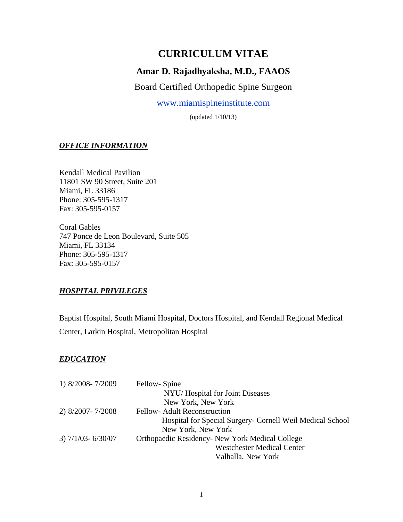# **CURRICULUM VITAE**

# **Amar D. Rajadhyaksha, M.D., FAAOS**

Board Certified Orthopedic Spine Surgeon

[www.miamispineinstitute.com](http://www.miamispineinstitute.com/)

(updated 1/10/13)

## *OFFICE INFORMATION*

Kendall Medical Pavilion 11801 SW 90 Street, Suite 201 Miami, FL 33186 Phone: 305-595-1317 Fax: 305-595-0157

Coral Gables 747 Ponce de Leon Boulevard, Suite 505 Miami, FL 33134 Phone: 305-595-1317 Fax: 305-595-0157

# *HOSPITAL PRIVILEGES*

Baptist Hospital, South Miami Hospital, Doctors Hospital, and Kendall Regional Medical Center, Larkin Hospital, Metropolitan Hospital

#### *EDUCATION*

| 1) 8/2008-7/2009    | Fellow-Spine                                              |
|---------------------|-----------------------------------------------------------|
|                     | NYU/Hospital for Joint Diseases                           |
|                     | New York, New York                                        |
| 2) 8/2007-7/2008    | <b>Fellow-Adult Reconstruction</b>                        |
|                     | Hospital for Special Surgery- Cornell Weil Medical School |
|                     | New York, New York                                        |
| $3)$ 7/1/03-6/30/07 | Orthopaedic Residency- New York Medical College           |
|                     | <b>Westchester Medical Center</b>                         |
|                     | Valhalla, New York                                        |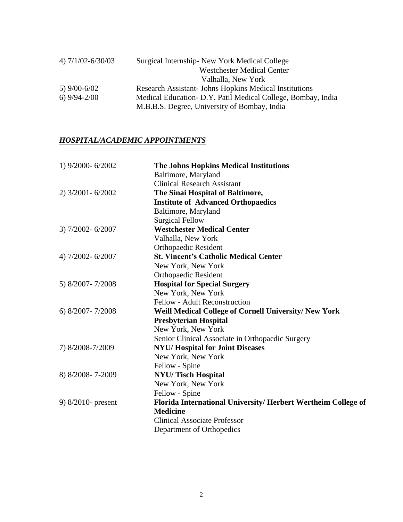| 4) $7/1/02 - 6/30/03$ | Surgical Internship - New York Medical College                |
|-----------------------|---------------------------------------------------------------|
|                       | <b>Westchester Medical Center</b>                             |
|                       | Valhalla, New York                                            |
| 5) $9/00 - 6/02$      | <b>Research Assistant- Johns Hopkins Medical Institutions</b> |
| $6)$ 9/94-2/00        | Medical Education - D.Y. Patil Medical College, Bombay, India |
|                       | M.B.B.S. Degree, University of Bombay, India                  |

# *HOSPITAL/ACADEMIC APPOINTMENTS*

| 1) 9/2000-6/2002   | <b>The Johns Hopkins Medical Institutions</b>                |
|--------------------|--------------------------------------------------------------|
|                    | Baltimore, Maryland                                          |
|                    | <b>Clinical Research Assistant</b>                           |
| 2) 3/2001-6/2002   | The Sinai Hospital of Baltimore,                             |
|                    | <b>Institute of Advanced Orthopaedics</b>                    |
|                    | Baltimore, Maryland                                          |
|                    | <b>Surgical Fellow</b>                                       |
| 3) 7/2002-6/2007   | <b>Westchester Medical Center</b>                            |
|                    | Valhalla, New York                                           |
|                    | Orthopaedic Resident                                         |
| 4) 7/2002-6/2007   | <b>St. Vincent's Catholic Medical Center</b>                 |
|                    | New York, New York                                           |
|                    | <b>Orthopaedic Resident</b>                                  |
| 5) 8/2007-7/2008   | <b>Hospital for Special Surgery</b>                          |
|                    | New York, New York                                           |
|                    | Fellow - Adult Reconstruction                                |
| 6) 8/2007-7/2008   | Weill Medical College of Cornell University/New York         |
|                    | <b>Presbyterian Hospital</b>                                 |
|                    | New York, New York                                           |
|                    | Senior Clinical Associate in Orthopaedic Surgery             |
| 7) 8/2008-7/2009   | <b>NYU/Hospital for Joint Diseases</b>                       |
|                    | New York, New York                                           |
|                    | Fellow - Spine                                               |
| 8) 8/2008-7-2009   | <b>NYU/Tisch Hospital</b>                                    |
|                    | New York, New York                                           |
|                    | Fellow - Spine                                               |
| 9) 8/2010- present | Florida International University/Herbert Wertheim College of |
|                    | <b>Medicine</b>                                              |
|                    | <b>Clinical Associate Professor</b>                          |
|                    | Department of Orthopedics                                    |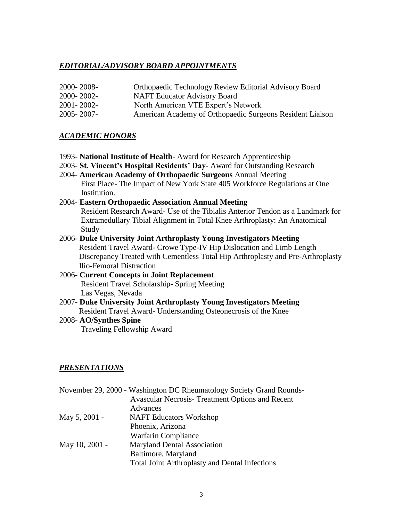#### *EDITORIAL/ADVISORY BOARD APPOINTMENTS*

- 2000- 2008- Orthopaedic Technology Review Editorial Advisory Board
- 2000- 2002- NAFT Educator Advisory Board
- 2001- 2002- North American VTE Expert's Network
- 2005- 2007- American Academy of Orthopaedic Surgeons Resident Liaison

#### *ACADEMIC HONORS*

- 1993- **National Institute of Health** Award for Research Apprenticeship
- 2003- **St. Vincent's Hospital Residents' Day** Award for Outstanding Research
- 2004- **American Academy of Orthopaedic Surgeons** Annual Meeting First Place- The Impact of New York State 405 Workforce Regulations at One Institution.

## 2004- **Eastern Orthopaedic Association Annual Meeting** Resident Research Award- Use of the Tibialis Anterior Tendon as a Landmark for Extramedullary Tibial Alignment in Total Knee Arthroplasty: An Anatomical Study

- 2006- **Duke University Joint Arthroplasty Young Investigators Meeting** Resident Travel Award- Crowe Type-IV Hip Dislocation and Limb Length Discrepancy Treated with Cementless Total Hip Arthroplasty and Pre-Arthroplasty Ilio-Femoral Distraction
- 2006- **Current Concepts in Joint Replacement** Resident Travel Scholarship- Spring Meeting Las Vegas, Nevada
- 2007- **Duke University Joint Arthroplasty Young Investigators Meeting Resident Travel Award- Understanding Osteonecrosis of the Knee**

#### 2008- **AO/Synthes Spine**

Traveling Fellowship Award

#### *PRESENTATIONS*

|                | November 29, 2000 - Washington DC Rheumatology Society Grand Rounds- |
|----------------|----------------------------------------------------------------------|
|                | <b>Avascular Necrosis- Treatment Options and Recent</b>              |
|                | Advances                                                             |
| May 5, 2001 -  | <b>NAFT</b> Educators Workshop                                       |
|                | Phoenix, Arizona                                                     |
|                | Warfarin Compliance                                                  |
| May 10, 2001 - | <b>Maryland Dental Association</b>                                   |
|                | Baltimore, Maryland                                                  |
|                | <b>Total Joint Arthroplasty and Dental Infections</b>                |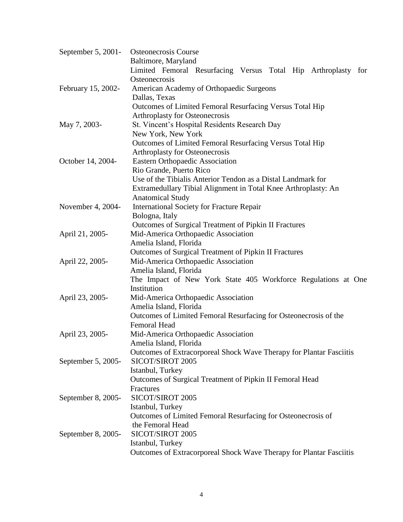| September 5, 2001- | <b>Osteonecrosis Course</b>                                             |
|--------------------|-------------------------------------------------------------------------|
|                    | Baltimore, Maryland                                                     |
|                    | Limited Femoral Resurfacing Versus Total Hip Arthroplasty for           |
|                    | Osteonecrosis                                                           |
| February 15, 2002- | American Academy of Orthopaedic Surgeons                                |
|                    | Dallas, Texas                                                           |
|                    | Outcomes of Limited Femoral Resurfacing Versus Total Hip                |
|                    | Arthroplasty for Osteonecrosis                                          |
| May 7, 2003-       | St. Vincent's Hospital Residents Research Day                           |
|                    | New York, New York                                                      |
|                    | Outcomes of Limited Femoral Resurfacing Versus Total Hip                |
|                    | Arthroplasty for Osteonecrosis                                          |
| October 14, 2004-  | <b>Eastern Orthopaedic Association</b>                                  |
|                    | Rio Grande, Puerto Rico                                                 |
|                    | Use of the Tibialis Anterior Tendon as a Distal Landmark for            |
|                    | Extramedullary Tibial Alignment in Total Knee Arthroplasty: An          |
|                    | <b>Anatomical Study</b>                                                 |
| November 4, 2004-  | <b>International Society for Fracture Repair</b>                        |
|                    | Bologna, Italy<br>Outcomes of Surgical Treatment of Pipkin II Fractures |
| April 21, 2005-    | Mid-America Orthopaedic Association                                     |
|                    | Amelia Island, Florida                                                  |
|                    | Outcomes of Surgical Treatment of Pipkin II Fractures                   |
| April 22, 2005-    | Mid-America Orthopaedic Association                                     |
|                    | Amelia Island, Florida                                                  |
|                    | The Impact of New York State 405 Workforce Regulations at One           |
|                    | Institution                                                             |
| April 23, 2005-    | Mid-America Orthopaedic Association                                     |
|                    | Amelia Island, Florida                                                  |
|                    | Outcomes of Limited Femoral Resurfacing for Osteonecrosis of the        |
|                    | <b>Femoral Head</b>                                                     |
| April 23, 2005-    | Mid-America Orthopaedic Association                                     |
|                    | Amelia Island, Florida                                                  |
|                    | Outcomes of Extracorporeal Shock Wave Therapy for Plantar Fasciitis     |
| September 5, 2005- | SICOT/SIROT 2005                                                        |
|                    | Istanbul, Turkey                                                        |
|                    | Outcomes of Surgical Treatment of Pipkin II Femoral Head                |
|                    | Fractures                                                               |
| September 8, 2005- | SICOT/SIROT 2005                                                        |
|                    | Istanbul, Turkey                                                        |
|                    | Outcomes of Limited Femoral Resurfacing for Osteonecrosis of            |
|                    | the Femoral Head                                                        |
| September 8, 2005- | SICOT/SIROT 2005                                                        |
|                    | Istanbul, Turkey                                                        |
|                    | Outcomes of Extracorporeal Shock Wave Therapy for Plantar Fasciitis     |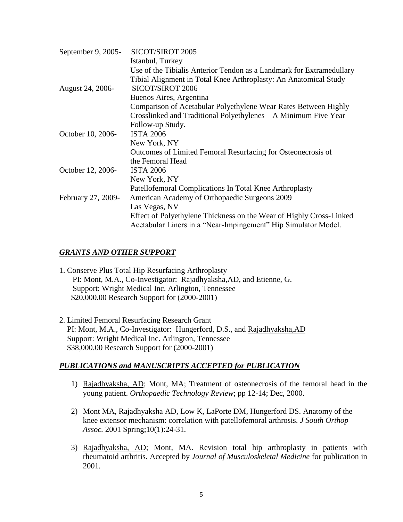| September 9, 2005- | SICOT/SIROT 2005                                                     |
|--------------------|----------------------------------------------------------------------|
|                    | Istanbul, Turkey                                                     |
|                    | Use of the Tibialis Anterior Tendon as a Landmark for Extramedullary |
|                    | Tibial Alignment in Total Knee Arthroplasty: An Anatomical Study     |
| August 24, 2006-   | SICOT/SIROT 2006                                                     |
|                    | Buenos Aires, Argentina                                              |
|                    | Comparison of Acetabular Polyethylene Wear Rates Between Highly      |
|                    | Crosslinked and Traditional Polyethylenes - A Minimum Five Year      |
|                    | Follow-up Study.                                                     |
| October 10, 2006-  | <b>ISTA 2006</b>                                                     |
|                    | New York, NY                                                         |
|                    | Outcomes of Limited Femoral Resurfacing for Osteonecrosis of         |
|                    | the Femoral Head                                                     |
| October 12, 2006-  | <b>ISTA 2006</b>                                                     |
|                    | New York, NY                                                         |
|                    | Patellofemoral Complications In Total Knee Arthroplasty              |
| February 27, 2009- | American Academy of Orthopaedic Surgeons 2009                        |
|                    | Las Vegas, NV                                                        |
|                    | Effect of Polyethylene Thickness on the Wear of Highly Cross-Linked  |
|                    | Acetabular Liners in a "Near-Impingement" Hip Simulator Model.       |
|                    |                                                                      |

# *GRANTS AND OTHER SUPPORT*

- 1. Conserve Plus Total Hip Resurfacing Arthroplasty PI: Mont, M.A., Co-Investigator: Rajadhyaksha,AD, and Etienne, G. Support: Wright Medical Inc. Arlington, Tennessee \$20,000.00 Research Support for (2000-2001)
- 2. Limited Femoral Resurfacing Research Grant PI: Mont, M.A., Co-Investigator: Hungerford, D.S., and Rajadhyaksha, AD Support: Wright Medical Inc. Arlington, Tennessee \$38,000.00 Research Support for (2000-2001)

# *PUBLICATIONS and MANUSCRIPTS ACCEPTED for PUBLICATION*

- 1) Rajadhyaksha, AD; Mont, MA; Treatment of osteonecrosis of the femoral head in the young patient. *Orthopaedic Technology Review*; pp 12-14; Dec, 2000.
- 2) [Mont MA, Rajadhyaksha AD, Low K, LaPorte DM, Hungerford DS.](http://www.ncbi.nlm.nih.gov/entrez/query.fcgi?cmd=Retrieve&db=PubMed&list_uids=12132839&dopt=Abstract) Anatomy of the knee extensor mechanism: correlation with patellofemoral arthrosis. *J South Orthop Assoc.* 2001 Spring;10(1):24-31.
- 3) Rajadhyaksha, AD; Mont, MA. Revision total hip arthroplasty in patients with rheumatoid arthritis. Accepted by *Journal of Musculoskeletal Medicine* for publication in 2001.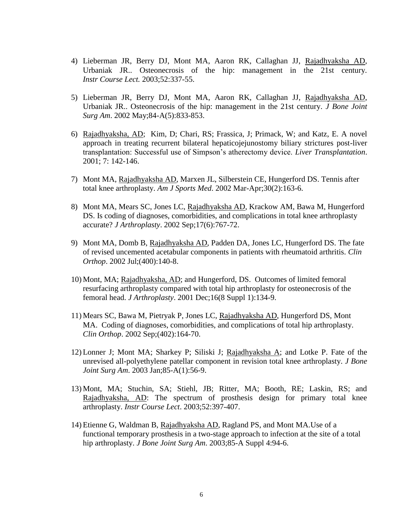- 4) [Lieberman JR, Berry DJ, Mont MA, Aaron RK, Callaghan JJ, Rajadhyaksha AD,](http://www.ncbi.nlm.nih.gov/entrez/query.fcgi?cmd=Retrieve&db=PubMed&list_uids=12690862&dopt=Abstract)  [Urbaniak JR..](http://www.ncbi.nlm.nih.gov/entrez/query.fcgi?cmd=Retrieve&db=PubMed&list_uids=12690862&dopt=Abstract) Osteonecrosis of the hip: management in the 21st century. *Instr Course Lect.* 2003;52:337-55.
- 5) Lieberman JR, Berry DJ, [Mont MA, Aaron RK, Callaghan JJ, Rajadhyaksha AD,](http://www.ncbi.nlm.nih.gov/entrez/query.fcgi?cmd=Retrieve&db=PubMed&list_uids=12690862&dopt=Abstract)  [Urbaniak JR..](http://www.ncbi.nlm.nih.gov/entrez/query.fcgi?cmd=Retrieve&db=PubMed&list_uids=12690862&dopt=Abstract) Osteonecrosis of the hip: management in the 21st century. *J Bone Joint Surg Am*. 2002 May;84-A(5):833-853.
- 6) Rajadhyaksha, AD; Kim, D; Chari, RS; Frassica, J; Primack, W; and Katz, E. A novel approach in treating recurrent bilateral hepaticojejunostomy biliary strictures post-liver transplantation: Successful use of Simpson's atherectomy device. *Liver Transplantation*. 2001; 7: 142-146.
- 7) [Mont MA, Rajadhyaksha AD, Marxen JL, Silberstein CE, Hungerford DS.](http://www.ncbi.nlm.nih.gov/entrez/query.fcgi?cmd=Retrieve&db=PubMed&list_uids=11912082&dopt=Abstract) Tennis after total knee arthroplasty. *Am J Sports Med*. 2002 Mar-Apr;30(2):163-6.
- 8) [Mont MA, Mears SC, Jones LC, Rajadhyaksha AD, Krackow AM, Bawa M, Hungerford](http://www.ncbi.nlm.nih.gov/entrez/query.fcgi?cmd=Retrieve&db=PubMed&list_uids=12216032&dopt=Abstract)  [DS.](http://www.ncbi.nlm.nih.gov/entrez/query.fcgi?cmd=Retrieve&db=PubMed&list_uids=12216032&dopt=Abstract) Is coding of diagnoses, comorbidities, and complications in total knee arthroplasty accurate? *J Arthroplasty*. 2002 Sep;17(6):767-72.
- 9) [Mont MA, Domb B, Rajadhyaksha AD, Padden DA, Jones LC, Hungerford DS.](http://www.ncbi.nlm.nih.gov/entrez/query.fcgi?cmd=Retrieve&db=PubMed&list_uids=12072756&dopt=Abstract) The fate of revised uncemented acetabular components in patients with rheumatoid arthritis. *Clin Orthop*. 2002 Jul;(400):140-8.
- 10) Mont, MA; Rajadhyaksha, AD; and Hungerford, DS. Outcomes of limited femoral resurfacing arthroplasty compared with total hip arthroplasty for osteonecrosis of the femoral head. *J Arthroplasty*. 2001 Dec;16(8 Suppl 1):134-9.
- 11) [Mears SC, Bawa M, Pietryak P, Jones LC, Rajadhyaksha AD, Hungerford DS, Mont](http://www.ncbi.nlm.nih.gov/entrez/query.fcgi?cmd=Retrieve&db=PubMed&list_uids=12218480&dopt=Abstract)  [MA.](http://www.ncbi.nlm.nih.gov/entrez/query.fcgi?cmd=Retrieve&db=PubMed&list_uids=12218480&dopt=Abstract) Coding of diagnoses, comorbidities, and complications of total hip arthroplasty. *Clin Orthop*. 2002 Sep;(402):164-70.
- 12) Lonner J; Mont MA; Sharkey P; Siliski J; Rajadhyaksha A; and Lotke P. Fate of the unrevised all-polyethylene patellar component in revision total knee arthroplasty. *J Bone Joint Surg Am*. 2003 Jan;85-A(1):56-9.
- 13) Mont, MA; Stuchin, SA; Stiehl, JB; Ritter, MA; Booth, RE; Laskin, RS; and Rajadhyaksha, AD: The spectrum of prosthesis design for primary total knee arthroplasty. *Instr Course Lect*. 2003;52:397-407.
- 14) [Etienne G, Waldman B, Rajadhyaksha AD, Ragland PS, and Mont MA.U](http://www.ncbi.nlm.nih.gov/entrez/query.fcgi?cmd=Retrieve&db=pubmed&dopt=Abstract&list_uids=14652398)se of a functional temporary prosthesis in a two-stage approach to infection at the site of a total hip arthroplasty. *J Bone Joint Surg Am*. 2003;85-A Suppl 4:94-6.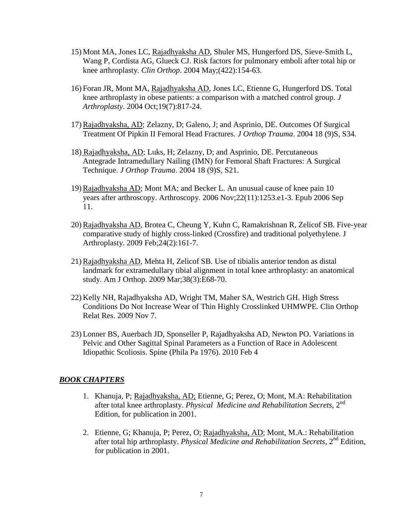- 15) [Mont MA, Jones LC, Rajadhyaksha AD, Shuler MS, Hungerford DS, Sieve-Smith L,](http://www.ncbi.nlm.nih.gov/entrez/query.fcgi?cmd=Retrieve&db=pubmed&dopt=Abstract&list_uids=15187850)  [Wang P, Cordista AG, Glueck CJ.](http://www.ncbi.nlm.nih.gov/entrez/query.fcgi?cmd=Retrieve&db=pubmed&dopt=Abstract&list_uids=15187850) Risk factors for pulmonary emboli after total hip or knee arthroplasty. *Clin Orthop*. 2004 May;(422):154-63.
- 16) [Foran JR, Mont MA, Rajadhyaksha AD, Jones LC, Etienne G, Hungerford DS.](http://www.ncbi.nlm.nih.gov/entrez/query.fcgi?cmd=Retrieve&db=pubmed&dopt=Abstract&list_uids=15483795) Total knee arthroplasty in obese patients: a comparison with a matched control group. *J Arthroplasty*. 2004 Oct;19(7):817-24.
- 17) Rajadhyaksha, AD; Zelazny, D; Galeno, J; and Asprinio, DE. Outcomes Of Surgical Treatment Of Pipkin II Femoral Head Fractures*. J Orthop Trauma*. 2004 18 (9)S, S34.
- 18) Rajadhyaksha, AD; Luks, H; Zelazny, D; and Asprinio, DE. Percutaneous Antegrade Intramedullary Nailing (IMN) for Femoral Shaft Fractures: A Surgical Technique. *J Orthop Trauma*. 2004 18 (9)S, S21.
- 19) Rajadhyaksha AD; Mont MA; and Becker L. An unusual cause of knee pain 10 years after arthroscopy. Arthroscopy. 2006 Nov;22(11):1253.e1-3. Epub 2006 Sep 11.
- 20) Rajadhyaksha AD, Brotea C, Cheung Y, Kuhn C, Ramakrishnan R, Zelicof SB. [Five-year](http://www.ncbi.nlm.nih.gov/pubmed/18534491?ordinalpos=1&itool=EntrezSystem2.PEntrez.Pubmed.Pubmed_ResultsPanel.Pubmed_DefaultReportPanel.Pubmed_RVDocSum)  comparative [study of highly cross-linked \(Crossfire\) and traditional polyethylene.](http://www.ncbi.nlm.nih.gov/pubmed/18534491?ordinalpos=1&itool=EntrezSystem2.PEntrez.Pubmed.Pubmed_ResultsPanel.Pubmed_DefaultReportPanel.Pubmed_RVDocSum) J Arthroplasty. 2009 Feb;24(2):161-7.
- 21) [Rajadhyaksha AD,](http://www.ncbi.nlm.nih.gov/sites/entrez?Db=pubmed&Cmd=Search&Term=%22Rajadhyaksha%20AD%22%5BAuthor%5D&itool=EntrezSystem2.PEntrez.Pubmed.Pubmed_ResultsPanel.Pubmed_DiscoveryPanel.Pubmed_RVAbstractPlus) [Mehta H,](http://www.ncbi.nlm.nih.gov/sites/entrez?Db=pubmed&Cmd=Search&Term=%22Mehta%20H%22%5BAuthor%5D&itool=EntrezSystem2.PEntrez.Pubmed.Pubmed_ResultsPanel.Pubmed_DiscoveryPanel.Pubmed_RVAbstractPlus) [Zelicof SB.](http://www.ncbi.nlm.nih.gov/sites/entrez?Db=pubmed&Cmd=Search&Term=%22Zelicof%20SB%22%5BAuthor%5D&itool=EntrezSystem2.PEntrez.Pubmed.Pubmed_ResultsPanel.Pubmed_DiscoveryPanel.Pubmed_RVAbstractPlus) Use of tibialis anterior tendon as distal landmark for extramedullary tibial alignment in total knee arthroplasty: an anatomical study. [Am J Orthop.](javascript:AL_get(this,%20) 2009 Mar;38(3):E68-70.
- 22) Kelly NH, Rajadhyaksha AD, Wright TM, Maher SA, Westrich GH. [High Stress](http://www.ncbi.nlm.nih.gov/pubmed/19898911?itool=EntrezSystem2.PEntrez.Pubmed.Pubmed_ResultsPanel.Pubmed_RVDocSum&ordinalpos=1)  [Conditions Do Not Increase Wear of Thin Highly Crosslinked UHMWPE.](http://www.ncbi.nlm.nih.gov/pubmed/19898911?itool=EntrezSystem2.PEntrez.Pubmed.Pubmed_ResultsPanel.Pubmed_RVDocSum&ordinalpos=1) Clin Orthop Relat Res. 2009 Nov 7.
- 23) [Lonner BS,](http://www.ncbi.nlm.nih.gov/pubmed?term=%22Lonner%20BS%22%5BAuthor%5D&itool=EntrezSystem2.PEntrez.Pubmed.Pubmed_ResultsPanel.Pubmed_RVAbstract) [Auerbach JD,](http://www.ncbi.nlm.nih.gov/pubmed?term=%22Auerbach%20JD%22%5BAuthor%5D&itool=EntrezSystem2.PEntrez.Pubmed.Pubmed_ResultsPanel.Pubmed_RVAbstract) [Sponseller P,](http://www.ncbi.nlm.nih.gov/pubmed?term=%22Sponseller%20P%22%5BAuthor%5D&itool=EntrezSystem2.PEntrez.Pubmed.Pubmed_ResultsPanel.Pubmed_RVAbstract) [Rajadhyaksha AD,](http://www.ncbi.nlm.nih.gov/pubmed?term=%22Rajadhyaksha%20AD%22%5BAuthor%5D&itool=EntrezSystem2.PEntrez.Pubmed.Pubmed_ResultsPanel.Pubmed_RVAbstract) [Newton PO.](http://www.ncbi.nlm.nih.gov/pubmed?term=%22Newton%20PO%22%5BAuthor%5D&itool=EntrezSystem2.PEntrez.Pubmed.Pubmed_ResultsPanel.Pubmed_RVAbstract) Variations in Pelvic and Other Sagittal Spinal Parameters as a Function of Race in Adolescent Idiopathic Scoliosis. [Spine \(Phila Pa 1976\).](javascript:AL_get(this,%20) 2010 Feb 4

#### *BOOK CHAPTERS*

- 1. Khanuja, P; Rajadhyaksha, AD; Etienne, G; Perez, O; Mont, M.A: Rehabilitation after total knee arthroplasty. *Physical Medicine and Rehabilitation Secrets*, 2nd Edition, for publication in 2001.
- 2. Etienne, G; Khanuja, P; Perez, O; Rajadhyaksha, AD; Mont, M.A.: Rehabilitation after total hip arthroplasty. *Physical Medicine and Rehabilitation Secrets*, 2nd Edition, for publication in 2001.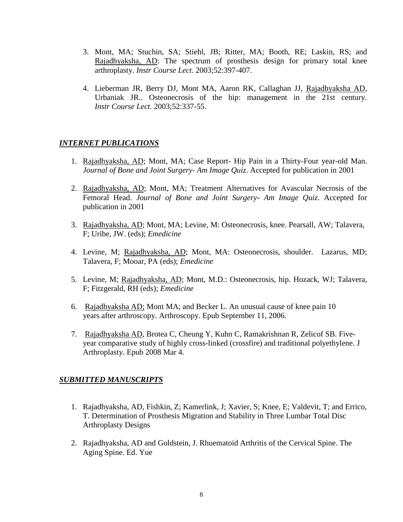- 3. Mont, MA; Stuchin, SA; Stiehl, JB; Ritter, MA; Booth, RE; Laskin, RS; and Rajadhyaksha, AD: The spectrum of prosthesis design for primary total knee arthroplasty. *Instr Course Lect*. 2003;52:397-407.
- 4. [Lieberman JR, Berry DJ, Mont MA, Aaron RK, Callaghan JJ, Rajadhyaksha AD,](http://www.ncbi.nlm.nih.gov/entrez/query.fcgi?cmd=Retrieve&db=PubMed&list_uids=12690862&dopt=Abstract)  [Urbaniak JR..](http://www.ncbi.nlm.nih.gov/entrez/query.fcgi?cmd=Retrieve&db=PubMed&list_uids=12690862&dopt=Abstract) Osteonecrosis of the hip: management in the 21st century. *Instr Course Lect.* 2003;52:337-55.

# *INTERNET PUBLICATIONS*

- 1. Rajadhyaksha, AD; Mont, MA; Case Report- Hip Pain in a Thirty-Four year-old Man. *Journal of Bone and Joint Surgery- Am Image Quiz*. Accepted for publication in 2001
- 2. Rajadhyaksha, AD; Mont, MA; Treatment Alternatives for Avascular Necrosis of the Femoral Head. *Journal of Bone and Joint Surgery- Am Image Quiz*. Accepted for publication in 2001
- 3. Rajadhyaksha, AD; Mont, MA; Levine, M: Osteonecrosis, knee. Pearsall, AW; Talavera, F; Uribe, JW. (eds); *Emedicine*
- 4. Levine, M; Rajadhyaksha, AD; Mont, MA: Osteonecrosis, shoulder. Lazarus, MD; Talavera, F; Mooar, PA (eds); *Emedicine*
- 5. Levine, M; Rajadhyaksha, AD; Mont, M.D.: Osteonecrosis, hip. Hozack, WJ; Talavera, F; Fitzgerald, RH (eds); *Emedicine*
- 6. Rajadhyaksha AD; Mont MA; and Becker L. An unusual cause of knee pain 10 years after arthroscopy. Arthroscopy. Epub September 11, 2006.
- 7. Rajadhyaksha AD, Brotea C, Cheung Y, Kuhn C, Ramakrishnan R, Zelicof SB. [Five](http://www.ncbi.nlm.nih.gov/pubmed/18534491?ordinalpos=1&itool=EntrezSystem2.PEntrez.Pubmed.Pubmed_ResultsPanel.Pubmed_DefaultReportPanel.Pubmed_RVDocSum)[year comparative study of highly cross-linked \(crossfire\) and traditional polyethylene.](http://www.ncbi.nlm.nih.gov/pubmed/18534491?ordinalpos=1&itool=EntrezSystem2.PEntrez.Pubmed.Pubmed_ResultsPanel.Pubmed_DefaultReportPanel.Pubmed_RVDocSum) J Arthroplasty. Epub 2008 Mar 4.

#### *SUBMITTED MANUSCRIPTS*

- 1. Rajadhyaksha, AD, Fishkin, Z; Kamerlink, J; Xavier, S; Knee, E; Valdevit, T; and Errico, T. Determination of Prosthesis Migration and Stability in Three Lumbar Total Disc Arthroplasty Designs
- 2. Rajadhyaksha, AD and Goldstein, J. Rhuematoid Arthritis of the Cervical Spine. The Aging Spine. Ed. Yue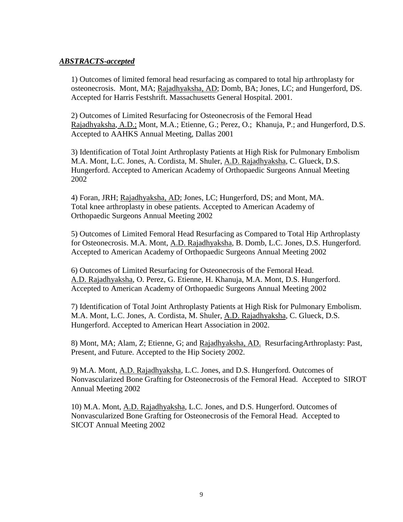## *ABSTRACTS-accepted*

1) Outcomes of limited femoral head resurfacing as compared to total hip arthroplasty for osteonecrosis. Mont, MA; Rajadhyaksha, AD; Domb, BA; Jones, LC; and Hungerford, DS. Accepted for Harris Festshrift. Massachusetts General Hospital. 2001.

2) Outcomes of Limited Resurfacing for Osteonecrosis of the Femoral Head Rajadhyaksha, A.D.; Mont, M.A.; Etienne, G.; Perez, O.; Khanuja, P.; and Hungerford, D.S. Accepted to AAHKS Annual Meeting, Dallas 2001

3) Identification of Total Joint Arthroplasty Patients at High Risk for Pulmonary Embolism M.A. Mont, L.C. Jones, A. Cordista, M. Shuler, A.D. Rajadhyaksha, C. Glueck, D.S. Hungerford. Accepted to American Academy of Orthopaedic Surgeons Annual Meeting 2002

4) Foran, JRH; Rajadhyaksha, AD; Jones, LC; Hungerford, DS; and Mont, MA. Total knee arthroplasty in obese patients. Accepted to American Academy of Orthopaedic Surgeons Annual Meeting 2002

5) Outcomes of Limited Femoral Head Resurfacing as Compared to Total Hip Arthroplasty for Osteonecrosis. M.A. Mont, A.D. Rajadhyaksha, B. Domb, L.C. Jones, D.S. Hungerford. Accepted to American Academy of Orthopaedic Surgeons Annual Meeting 2002

6) Outcomes of Limited Resurfacing for Osteonecrosis of the Femoral Head. A.D. Rajadhyaksha, O. Perez, G. Etienne, H. Khanuja, M.A. Mont, D.S. Hungerford. Accepted to American Academy of Orthopaedic Surgeons Annual Meeting 2002

7) Identification of Total Joint Arthroplasty Patients at High Risk for Pulmonary Embolism. M.A. Mont, L.C. Jones, A. Cordista, M. Shuler, A.D. Rajadhyaksha, C. Glueck, D.S. Hungerford. Accepted to American Heart Association in 2002.

8) Mont, MA; Alam, Z; Etienne, G; and Rajadhyaksha, AD. ResurfacingArthroplasty: Past, Present, and Future. Accepted to the Hip Society 2002.

9) M.A. Mont, A.D. Rajadhyaksha, L.C. Jones, and D.S. Hungerford. Outcomes of Nonvascularized Bone Grafting for Osteonecrosis of the Femoral Head. Accepted to SIROT Annual Meeting 2002

10) M.A. Mont, A.D. Rajadhyaksha, L.C. Jones, and D.S. Hungerford. Outcomes of Nonvascularized Bone Grafting for Osteonecrosis of the Femoral Head. Accepted to SICOT Annual Meeting 2002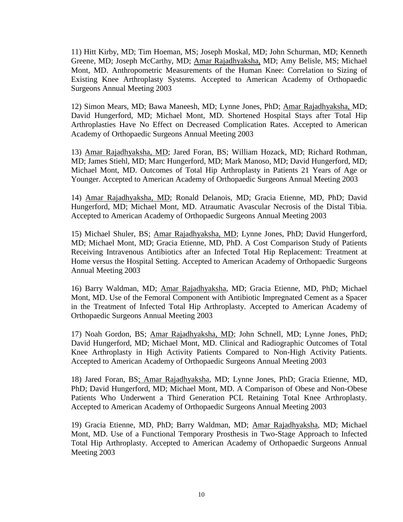11) Hitt Kirby, MD; Tim Hoeman, MS; Joseph Moskal, MD; John Schurman, MD; Kenneth Greene, MD; Joseph McCarthy, MD; Amar Rajadhyaksha, MD; Amy Belisle, MS; Michael Mont, MD. Anthropometric Measurements of the Human Knee: Correlation to Sizing of Existing Knee Arthroplasty Systems. Accepted to American Academy of Orthopaedic Surgeons Annual Meeting 2003

12) Simon Mears, MD; Bawa Maneesh, MD; Lynne Jones, PhD; Amar Rajadhyaksha, MD; David Hungerford, MD; Michael Mont, MD. Shortened Hospital Stays after Total Hip Arthroplasties Have No Effect on Decreased Complication Rates. Accepted to American Academy of Orthopaedic Surgeons Annual Meeting 2003

13) Amar Rajadhyaksha, MD; Jared Foran, BS; William Hozack, MD; Richard Rothman, MD; James Stiehl, MD; Marc Hungerford, MD; Mark Manoso, MD; David Hungerford, MD; Michael Mont, MD. Outcomes of Total Hip Arthroplasty in Patients 21 Years of Age or Younger. Accepted to American Academy of Orthopaedic Surgeons Annual Meeting 2003

14) Amar Rajadhyaksha, MD; Ronald Delanois, MD; Gracia Etienne, MD, PhD; David Hungerford, MD; Michael Mont, MD. Atraumatic Avascular Necrosis of the Distal Tibia. Accepted to American Academy of Orthopaedic Surgeons Annual Meeting 2003

15) Michael Shuler, BS; Amar Rajadhyaksha, MD; Lynne Jones, PhD; David Hungerford, MD; Michael Mont, MD; Gracia Etienne, MD, PhD. A Cost Comparison Study of Patients Receiving Intravenous Antibiotics after an Infected Total Hip Replacement: Treatment at Home versus the Hospital Setting. Accepted to American Academy of Orthopaedic Surgeons Annual Meeting 2003

16) Barry Waldman, MD; Amar Rajadhyaksha, MD; Gracia Etienne, MD, PhD; Michael Mont, MD. Use of the Femoral Component with Antibiotic Impregnated Cement as a Spacer in the Treatment of Infected Total Hip Arthroplasty. Accepted to American Academy of Orthopaedic Surgeons Annual Meeting 2003

17) Noah Gordon, BS; Amar Rajadhyaksha, MD; John Schnell, MD; Lynne Jones, PhD; David Hungerford, MD; Michael Mont, MD. Clinical and Radiographic Outcomes of Total Knee Arthroplasty in High Activity Patients Compared to Non-High Activity Patients. Accepted to American Academy of Orthopaedic Surgeons Annual Meeting 2003

18) Jared Foran, BS; Amar Rajadhyaksha, MD; Lynne Jones, PhD; Gracia Etienne, MD, PhD; David Hungerford, MD; Michael Mont, MD. A Comparison of Obese and Non-Obese Patients Who Underwent a Third Generation PCL Retaining Total Knee Arthroplasty. Accepted to American Academy of Orthopaedic Surgeons Annual Meeting 2003

19) Gracia Etienne, MD, PhD; Barry Waldman, MD; Amar Rajadhyaksha, MD; Michael Mont, MD. Use of a Functional Temporary Prosthesis in Two-Stage Approach to Infected Total Hip Arthroplasty. Accepted to American Academy of Orthopaedic Surgeons Annual Meeting 2003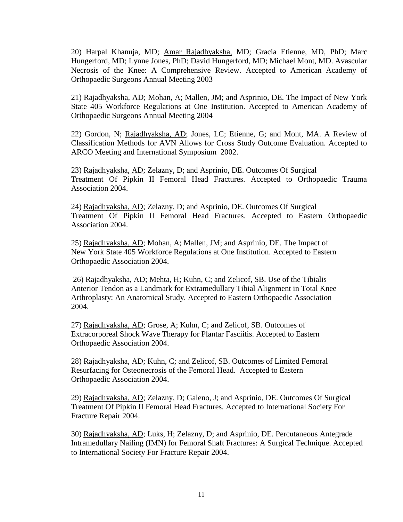20) Harpal Khanuja, MD; Amar Rajadhyaksha, MD; Gracia Etienne, MD, PhD; Marc Hungerford, MD; Lynne Jones, PhD; David Hungerford, MD; Michael Mont, MD. Avascular Necrosis of the Knee: A Comprehensive Review. Accepted to American Academy of Orthopaedic Surgeons Annual Meeting 2003

21) Rajadhyaksha, AD; Mohan, A; Mallen, JM; and Asprinio, DE. The Impact of New York State 405 Workforce Regulations at One Institution. Accepted to American Academy of Orthopaedic Surgeons Annual Meeting 2004

22) Gordon, N; Rajadhyaksha, AD; Jones, LC; Etienne, G; and Mont, MA. A Review of Classification Methods for AVN Allows for Cross Study Outcome Evaluation. Accepted to ARCO Meeting and International Symposium 2002.

23) Rajadhyaksha, AD; Zelazny, D; and Asprinio, DE. Outcomes Of Surgical Treatment Of Pipkin II Femoral Head Fractures. Accepted to Orthopaedic Trauma Association 2004.

24) Rajadhyaksha, AD; Zelazny, D; and Asprinio, DE. Outcomes Of Surgical Treatment Of Pipkin II Femoral Head Fractures. Accepted to Eastern Orthopaedic Association 2004.

25) Rajadhyaksha, AD; Mohan, A; Mallen, JM; and Asprinio, DE. The Impact of New York State 405 Workforce Regulations at One Institution. Accepted to Eastern Orthopaedic Association 2004.

26) Rajadhyaksha, AD; Mehta, H; Kuhn, C; and Zelicof, SB. Use of the Tibialis Anterior Tendon as a Landmark for Extramedullary Tibial Alignment in Total Knee Arthroplasty: An Anatomical Study. Accepted to Eastern Orthopaedic Association 2004.

 27) Rajadhyaksha, AD; Grose, A; Kuhn, C; and Zelicof, SB. Outcomes of Extracorporeal Shock Wave Therapy for Plantar Fasciitis. Accepted to Eastern Orthopaedic Association 2004.

28) Rajadhyaksha, AD; Kuhn, C; and Zelicof, SB. Outcomes of Limited Femoral Resurfacing for Osteonecrosis of the Femoral Head. Accepted to Eastern Orthopaedic Association 2004.

29) Rajadhyaksha, AD; Zelazny, D; Galeno, J; and Asprinio, DE. Outcomes Of Surgical Treatment Of Pipkin II Femoral Head Fractures. Accepted to International Society For Fracture Repair 2004.

30) Rajadhyaksha, AD; Luks, H; Zelazny, D; and Asprinio, DE. Percutaneous Antegrade Intramedullary Nailing (IMN) for Femoral Shaft Fractures: A Surgical Technique. Accepted to International Society For Fracture Repair 2004.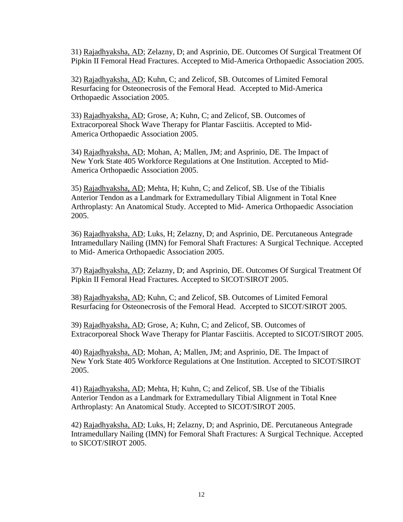31) Rajadhyaksha, AD; Zelazny, D; and Asprinio, DE. Outcomes Of Surgical Treatment Of Pipkin II Femoral Head Fractures. Accepted to Mid-America Orthopaedic Association 2005.

32) Rajadhyaksha, AD; Kuhn, C; and Zelicof, SB. Outcomes of Limited Femoral Resurfacing for Osteonecrosis of the Femoral Head. Accepted to Mid-America Orthopaedic Association 2005.

 33) Rajadhyaksha, AD; Grose, A; Kuhn, C; and Zelicof, SB. Outcomes of Extracorporeal Shock Wave Therapy for Plantar Fasciitis. Accepted to Mid-America Orthopaedic Association 2005.

34) Rajadhyaksha, AD; Mohan, A; Mallen, JM; and Asprinio, DE. The Impact of New York State 405 Workforce Regulations at One Institution. Accepted to Mid-America Orthopaedic Association 2005.

 35) Rajadhyaksha, AD; Mehta, H; Kuhn, C; and Zelicof, SB. Use of the Tibialis Anterior Tendon as a Landmark for Extramedullary Tibial Alignment in Total Knee Arthroplasty: An Anatomical Study. Accepted to Mid- America Orthopaedic Association 2005.

36) Rajadhyaksha, AD; Luks, H; Zelazny, D; and Asprinio, DE. Percutaneous Antegrade Intramedullary Nailing (IMN) for Femoral Shaft Fractures: A Surgical Technique. Accepted to Mid- America Orthopaedic Association 2005.

37) Rajadhyaksha, AD; Zelazny, D; and Asprinio, DE. Outcomes Of Surgical Treatment Of Pipkin II Femoral Head Fractures. Accepted to SICOT/SIROT 2005.

38) Rajadhyaksha, AD; Kuhn, C; and Zelicof, SB. Outcomes of Limited Femoral Resurfacing for Osteonecrosis of the Femoral Head. Accepted to SICOT/SIROT 2005.

 39) Rajadhyaksha, AD; Grose, A; Kuhn, C; and Zelicof, SB. Outcomes of Extracorporeal Shock Wave Therapy for Plantar Fasciitis. Accepted to SICOT/SIROT 2005.

40) Rajadhyaksha, AD; Mohan, A; Mallen, JM; and Asprinio, DE. The Impact of New York State 405 Workforce Regulations at One Institution. Accepted to SICOT/SIROT 2005.

 41) Rajadhyaksha, AD; Mehta, H; Kuhn, C; and Zelicof, SB. Use of the Tibialis Anterior Tendon as a Landmark for Extramedullary Tibial Alignment in Total Knee Arthroplasty: An Anatomical Study. Accepted to SICOT/SIROT 2005.

42) Rajadhyaksha, AD; Luks, H; Zelazny, D; and Asprinio, DE. Percutaneous Antegrade Intramedullary Nailing (IMN) for Femoral Shaft Fractures: A Surgical Technique. Accepted to SICOT/SIROT 2005.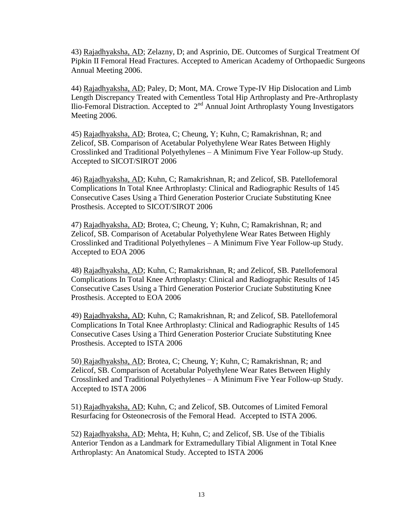43) Rajadhyaksha, AD; Zelazny, D; and Asprinio, DE. Outcomes of Surgical Treatment Of Pipkin II Femoral Head Fractures. Accepted to American Academy of Orthopaedic Surgeons Annual Meeting 2006.

44) Rajadhyaksha, AD; Paley, D; Mont, MA. Crowe Type-IV Hip Dislocation and Limb Length Discrepancy Treated with Cementless Total Hip Arthroplasty and Pre-Arthroplasty  $\overline{\text{I}}$ lio-Femoral Distraction. Accepted to  $2^{\text{nd}}$  Annual Joint Arthroplasty Young Investigators Meeting 2006.

45) Rajadhyaksha, AD; Brotea, C; Cheung, Y; Kuhn, C; Ramakrishnan, R; and Zelicof, SB. Comparison of Acetabular Polyethylene Wear Rates Between Highly Crosslinked and Traditional Polyethylenes – A Minimum Five Year Follow-up Study. Accepted to SICOT/SIROT 2006

46) Rajadhyaksha, AD; Kuhn, C; Ramakrishnan, R; and Zelicof, SB. Patellofemoral Complications In Total Knee Arthroplasty: Clinical and Radiographic Results of 145 Consecutive Cases Using a Third Generation Posterior Cruciate Substituting Knee Prosthesis. Accepted to SICOT/SIROT 2006

47) Rajadhyaksha, AD; Brotea, C; Cheung, Y; Kuhn, C; Ramakrishnan, R; and Zelicof, SB. Comparison of Acetabular Polyethylene Wear Rates Between Highly Crosslinked and Traditional Polyethylenes – A Minimum Five Year Follow-up Study. Accepted to EOA 2006

48) Rajadhyaksha, AD; Kuhn, C; Ramakrishnan, R; and Zelicof, SB. Patellofemoral Complications In Total Knee Arthroplasty: Clinical and Radiographic Results of 145 Consecutive Cases Using a Third Generation Posterior Cruciate Substituting Knee Prosthesis. Accepted to EOA 2006

49) Rajadhyaksha, AD; Kuhn, C; Ramakrishnan, R; and Zelicof, SB. Patellofemoral Complications In Total Knee Arthroplasty: Clinical and Radiographic Results of 145 Consecutive Cases Using a Third Generation Posterior Cruciate Substituting Knee Prosthesis. Accepted to ISTA 2006

50) Rajadhyaksha, AD; Brotea, C; Cheung, Y; Kuhn, C; Ramakrishnan, R; and Zelicof, SB. Comparison of Acetabular Polyethylene Wear Rates Between Highly Crosslinked and Traditional Polyethylenes – A Minimum Five Year Follow-up Study. Accepted to ISTA 2006

51) Rajadhyaksha, AD; Kuhn, C; and Zelicof, SB. Outcomes of Limited Femoral Resurfacing for Osteonecrosis of the Femoral Head. Accepted to ISTA 2006.

 52) Rajadhyaksha, AD; Mehta, H; Kuhn, C; and Zelicof, SB. Use of the Tibialis Anterior Tendon as a Landmark for Extramedullary Tibial Alignment in Total Knee Arthroplasty: An Anatomical Study. Accepted to ISTA 2006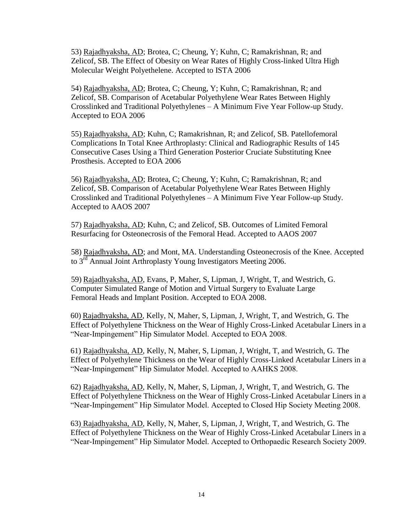53) Rajadhyaksha, AD; Brotea, C; Cheung, Y; Kuhn, C; Ramakrishnan, R; and Zelicof, SB. The Effect of Obesity on Wear Rates of Highly Cross-linked Ultra High Molecular Weight Polyethelene. Accepted to ISTA 2006

54) Rajadhyaksha, AD; Brotea, C; Cheung, Y; Kuhn, C; Ramakrishnan, R; and Zelicof, SB. Comparison of Acetabular Polyethylene Wear Rates Between Highly Crosslinked and Traditional Polyethylenes – A Minimum Five Year Follow-up Study. Accepted to EOA 2006

55) Rajadhyaksha, AD; Kuhn, C; Ramakrishnan, R; and Zelicof, SB. Patellofemoral Complications In Total Knee Arthroplasty: Clinical and Radiographic Results of 145 Consecutive Cases Using a Third Generation Posterior Cruciate Substituting Knee Prosthesis. Accepted to EOA 2006

56) Rajadhyaksha, AD; Brotea, C; Cheung, Y; Kuhn, C; Ramakrishnan, R; and Zelicof, SB. Comparison of Acetabular Polyethylene Wear Rates Between Highly Crosslinked and Traditional Polyethylenes – A Minimum Five Year Follow-up Study. Accepted to AAOS 2007

57) Rajadhyaksha, AD; Kuhn, C; and Zelicof, SB. Outcomes of Limited Femoral Resurfacing for Osteonecrosis of the Femoral Head. Accepted to AAOS 2007

58) Rajadhyaksha, AD; and Mont, MA. Understanding Osteonecrosis of the Knee. Accepted to 3<sup>rd</sup> Annual Joint Arthroplasty Young Investigators Meeting 2006.

 59) Rajadhyaksha, AD, Evans, P, Maher, S, Lipman, J, Wright, T, and Westrich, G. Computer Simulated Range of Motion and Virtual Surgery to Evaluate Large Femoral Heads and Implant Position. Accepted to EOA 2008.

60) Rajadhyaksha, AD, Kelly, N, Maher, S, Lipman, J, Wright, T, and Westrich, G. The Effect of Polyethylene Thickness on the Wear of Highly Cross-Linked Acetabular Liners in a "Near-Impingement" Hip Simulator Model. Accepted to EOA 2008.

61) Rajadhyaksha, AD, Kelly, N, Maher, S, Lipman, J, Wright, T, and Westrich, G. The Effect of Polyethylene Thickness on the Wear of Highly Cross-Linked Acetabular Liners in a "Near-Impingement" Hip Simulator Model. Accepted to AAHKS 2008.

62) Rajadhyaksha, AD, Kelly, N, Maher, S, Lipman, J, Wright, T, and Westrich, G. The Effect of Polyethylene Thickness on the Wear of Highly Cross-Linked Acetabular Liners in a "Near-Impingement" Hip Simulator Model. Accepted to Closed Hip Society Meeting 2008.

63) Rajadhyaksha, AD, Kelly, N, Maher, S, Lipman, J, Wright, T, and Westrich, G. The Effect of Polyethylene Thickness on the Wear of Highly Cross-Linked Acetabular Liners in a "Near-Impingement" Hip Simulator Model. Accepted to Orthopaedic Research Society 2009.